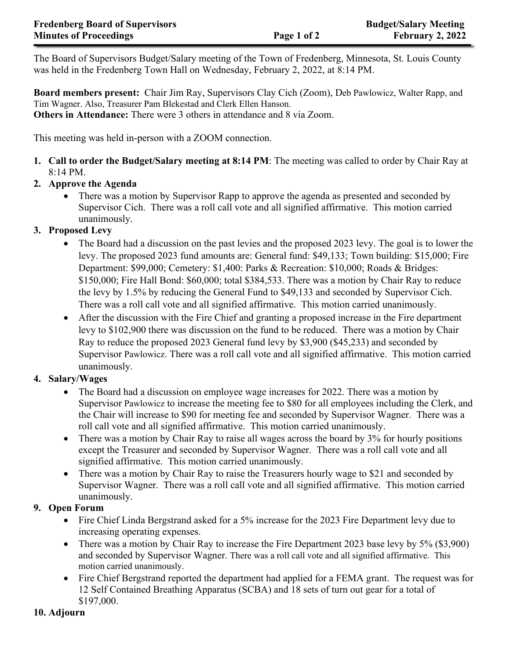The Board of Supervisors Budget/Salary meeting of the Town of Fredenberg, Minnesota, St. Louis County was held in the Fredenberg Town Hall on Wednesday, February 2, 2022, at 8:14 PM.

**Board members present:** Chair Jim Ray, Supervisors Clay Cich (Zoom), Deb Pawlowicz, Walter Rapp, and Tim Wagner. Also, Treasurer Pam Blekestad and Clerk Ellen Hanson. **Others in Attendance:** There were 3 others in attendance and 8 via Zoom.

This meeting was held in-person with a ZOOM connection.

**1. Call to order the Budget/Salary meeting at 8:14 PM**: The meeting was called to order by Chair Ray at 8:14 PM.

## **2. Approve the Agenda**

• There was a motion by Supervisor Rapp to approve the agenda as presented and seconded by Supervisor Cich. There was a roll call vote and all signified affirmative. This motion carried unanimously.

## **3. Proposed Levy**

- The Board had a discussion on the past levies and the proposed 2023 levy. The goal is to lower the levy. The proposed 2023 fund amounts are: General fund: \$49,133; Town building: \$15,000; Fire Department: \$99,000; Cemetery: \$1,400: Parks & Recreation: \$10,000; Roads & Bridges: \$150,000; Fire Hall Bond: \$60,000; total \$384,533. There was a motion by Chair Ray to reduce the levy by 1.5% by reducing the General Fund to \$49,133 and seconded by Supervisor Cich. There was a roll call vote and all signified affirmative. This motion carried unanimously.
- After the discussion with the Fire Chief and granting a proposed increase in the Fire department levy to \$102,900 there was discussion on the fund to be reduced. There was a motion by Chair Ray to reduce the proposed 2023 General fund levy by \$3,900 (\$45,233) and seconded by Supervisor Pawlowicz. There was a roll call vote and all signified affirmative. This motion carried unanimously.

## **4. Salary/Wages**

- The Board had a discussion on employee wage increases for 2022. There was a motion by Supervisor Pawlowicz to increase the meeting fee to \$80 for all employees including the Clerk, and the Chair will increase to \$90 for meeting fee and seconded by Supervisor Wagner. There was a roll call vote and all signified affirmative. This motion carried unanimously.
- There was a motion by Chair Ray to raise all wages across the board by 3% for hourly positions except the Treasurer and seconded by Supervisor Wagner. There was a roll call vote and all signified affirmative. This motion carried unanimously.
- There was a motion by Chair Ray to raise the Treasurers hourly wage to \$21 and seconded by Supervisor Wagner. There was a roll call vote and all signified affirmative. This motion carried unanimously.

## **9. Open Forum**

- Fire Chief Linda Bergstrand asked for a 5% increase for the 2023 Fire Department levy due to increasing operating expenses.
- There was a motion by Chair Ray to increase the Fire Department 2023 base levy by 5% (\$3,900) and seconded by Supervisor Wagner. There was a roll call vote and all signified affirmative. This motion carried unanimously.
- Fire Chief Bergstrand reported the department had applied for a FEMA grant. The request was for 12 Self Contained Breathing Apparatus (SCBA) and 18 sets of turn out gear for a total of \$197,000.